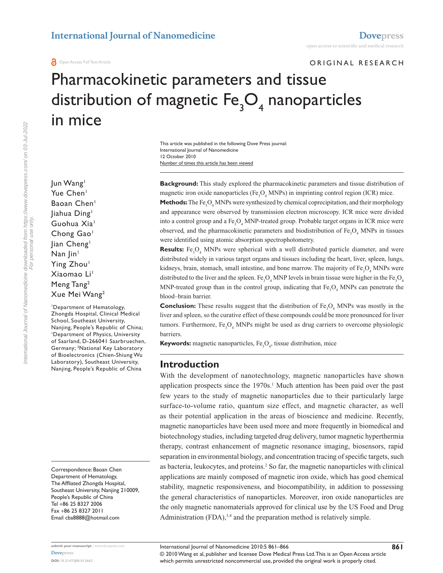ORIGINAL RESEARCH

# Pharmacokinetic parameters and tissue distribution of magnetic  $\mathsf{Fe}_{\mathfrak{z}}\mathsf{O}_{\mathfrak{q}}$  nanoparticles in mice

Number of times this article has been viewed This article was published in the following Dove Press journal: International Journal of Nanomedicine 12 October 2010

**Background:** This study explored the pharmacokinetic parameters and tissue distribution of magnetic iron oxide nanoparticles (Fe<sub>3</sub>O<sub>4</sub> MNPs) in imprinting control region (ICR) mice.

**Methods:** The Fe<sub>3</sub>O<sub>4</sub> MNPs were synthesized by chemical coprecipitation, and their morphology and appearance were observed by transmission electron microscopy. ICR mice were divided into a control group and a  $\text{Fe}_{3}\text{O}_{4}$  MNP-treated group. Probable target organs in ICR mice were observed, and the pharmacokinetic parameters and biodistribution of  $Fe<sub>3</sub>O<sub>4</sub>$  MNPs in tissues were identified using atomic absorption spectrophotometry.

**Results:** Fe<sub>3</sub>O<sub>4</sub> MNPs were spherical with a well distributed particle diameter, and were distributed widely in various target organs and tissues including the heart, liver, spleen, lungs, kidneys, brain, stomach, small intestine, and bone marrow. The majority of  $Fe<sub>3</sub>O<sub>4</sub>$  MNPs were distributed to the liver and the spleen. Fe<sub>3</sub>O<sub>4</sub> MNP levels in brain tissue were higher in the Fe<sub>3</sub>O<sub>4</sub> MNP-treated group than in the control group, indicating that  $Fe<sub>3</sub>O<sub>4</sub>$  MNPs can penetrate the blood–brain barrier.

**Conclusion:** These results suggest that the distribution of  $Fe<sub>3</sub>O<sub>4</sub>$  MNPs was mostly in the liver and spleen, so the curative effect of these compounds could be more pronounced for liver tumors. Furthermore, Fe<sub>3</sub>O<sub>4</sub> MNPs might be used as drug carriers to overcome physiologic barriers.

**Keywords:** magnetic nanoparticles, Fe<sub>3</sub>O<sub>4</sub>, tissue distribution, mice

#### **Introduction**

With the development of nanotechnology, magnetic nanoparticles have shown application prospects since the  $1970s<sup>1</sup>$  Much attention has been paid over the past few years to the study of magnetic nanoparticles due to their particularly large surface-to-volume ratio, quantum size effect, and magnetic character, as well as their potential application in the areas of bioscience and medicine. Recently, magnetic nanoparticles have been used more and more frequently in biomedical and biotechnology studies, including targeted drug delivery, tumor magnetic hyperthermia therapy, contrast enhancement of magnetic resonance imaging, biosensors, rapid separation in environmental biology, and concentration tracing of specific targets, such as bacteria, leukocytes, and proteins.<sup>2</sup> So far, the magnetic nanoparticles with clinical applications are mainly composed of magnetic iron oxide, which has good chemical stability, magnetic responsiveness, and biocompatibility, in addition to possessing the general characteristics of nanoparticles. Moreover, iron oxide nanoparticles are the only magnetic nanomaterials approved for clinical use by the US Food and Drug Administration (FDA),<sup>3,4</sup> and the preparation method is relatively simple.

Jun Wang<sup>1</sup> Yue Chen<sup>1</sup> Baoan Chen<sup>1</sup> Jiahua Ding1 Guohua Xia<sup>1</sup> Chong Gao<sup>1</sup> lian Cheng<sup>1</sup> Nan |in<sup>1</sup> Ying Zhou<sup>1</sup> Xiaomao Li<sup>1</sup> Meng Tang2 Xue Mei Wang2 1 Department of Hematology,

Zhongda Hospital, Clinical Medical School, Southeast University, Nanjing, People's Republic of China; 1 Department of Physics, University of Saarland, D-266041 Saarbruechen, Germany; 2 National Key Laboratory of Bioelectronics (Chien-Shiung Wu Laboratory), Southeast University, Nanjing, People's Republic of China

Correspondence: Baoan Chen Department of Hematology, The Affliated Zhongda Hospital, Southeast University, Nanjing 210009, People's Republic of China Tel +86 25 8327 2006 Fax +86 25 8327 2011 Email cba8888@hotmail.com

For personal use only.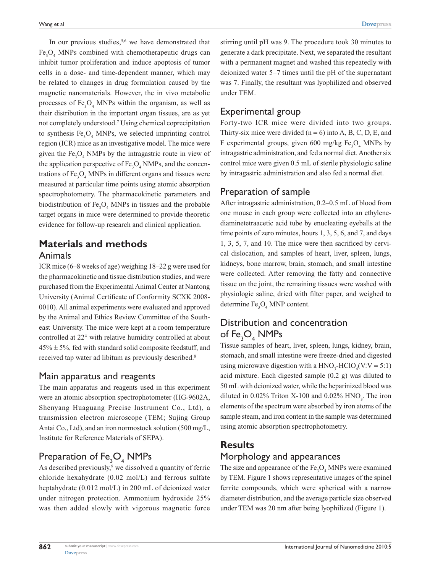In our previous studies, $5,6$  we have demonstrated that  $Fe<sub>3</sub>O<sub>4</sub>$  MNPs combined with chemotherapeutic drugs can inhibit tumor proliferation and induce apoptosis of tumor cells in a dose- and time-dependent manner, which may be related to changes in drug formulation caused by the magnetic nanomaterials. However, the in vivo metabolic processes of  $Fe<sub>3</sub>O<sub>4</sub>$  MNPs within the organism, as well as their distribution in the important organ tissues, are as yet not completely understood.7 Using chemical coprecipitation to synthesis  $Fe<sub>3</sub>O<sub>4</sub>$  MNPs, we selected imprinting control region (ICR) mice as an investigative model. The mice were given the  $Fe<sub>3</sub>O<sub>4</sub>$  NMPs by the intragastric route in view of the application perspective of  $Fe<sub>3</sub>O<sub>4</sub> NMPs$ , and the concentrations of  $\text{Fe}_{3}\text{O}_{4}$  MNPs in different organs and tissues were measured at particular time points using atomic absorption spectrophotometry. The pharmacokinetic parameters and biodistribution of  $Fe<sub>3</sub>O<sub>4</sub>$  MNPs in tissues and the probable target organs in mice were determined to provide theoretic evidence for follow-up research and clinical application.

## **Materials and methods** Animals

ICR mice (6–8 weeks of age) weighing 18–22 g were used for the pharmacokinetic and tissue distribution studies, and were purchased from the Experimental Animal Center at Nantong University (Animal Certificate of Conformity SCXK 2008- 0010). All animal experiments were evaluated and approved by the Animal and Ethics Review Committee of the Southeast University. The mice were kept at a room temperature controlled at 22° with relative humidity controlled at about  $45\% \pm 5\%$ , fed with standard solid composite feedstuff, and received tap water ad libitum as previously described.<sup>8</sup>

#### Main apparatus and reagents

The main apparatus and reagents used in this experiment were an atomic absorption spectrophotometer (HG-9602A, Shenyang Huaguang Precise Instrument Co., Ltd), a transmission electron microscope (TEM; Sujing Group Antai Co., Ltd), and an iron normostock solution (500 mg/L, Institute for Reference Materials of SEPA).

# Preparation of  $\mathsf{Fe}_{\mathsf{3}}\mathsf{O}_{\mathsf{4}}$  NMPs

As described previously,<sup>9</sup> we dissolved a quantity of ferric chloride hexahydrate (0.02 mol/L) and ferrous sulfate heptahydrate (0.012 mol/L) in 200 mL of deionized water under nitrogen protection. Ammonium hydroxide 25% was then added slowly with vigorous magnetic force

stirring until pH was 9. The procedure took 30 minutes to generate a dark precipitate. Next, we separated the resultant with a permanent magnet and washed this repeatedly with deionized water 5–7 times until the pH of the supernatant was 7. Finally, the resultant was lyophilized and observed under TEM.

#### Experimental group

Forty-two ICR mice were divided into two groups. Thirty-six mice were divided  $(n = 6)$  into A, B, C, D, E, and F experimental groups, given 600 mg/kg  $Fe<sub>3</sub>O<sub>4</sub>$  MNPs by intragastric administration, and fed a normal diet. Another six control mice were given 0.5 mL of sterile physiologic saline by intragastric administration and also fed a normal diet.

#### Preparation of sample

After intragastric administration, 0.2–0.5 mL of blood from one mouse in each group were collected into an ethylenediaminetetraacetic acid tube by enucleating eyeballs at the time points of zero minutes, hours 1, 3, 5, 6, and 7, and days 1, 3, 5, 7, and 10. The mice were then sacrificed by cervical dislocation, and samples of heart, liver, spleen, lungs, kidneys, bone marrow, brain, stomach, and small intestine were collected. After removing the fatty and connective tissue on the joint, the remaining tissues were washed with physiologic saline, dried with filter paper, and weighed to determine  $Fe<sub>3</sub>O<sub>4</sub> MNP$  content.

# Distribution and concentration of  $\mathsf{Fe_{3}O_{4}}$  NMPs

Tissue samples of heart, liver, spleen, lungs, kidney, brain, stomach, and small intestine were freeze-dried and digested using microwave digestion with a  $HNO<sub>3</sub>-HClO<sub>4</sub>(V:V = 5:1)$ acid mixture. Each digested sample (0.2 g) was diluted to 50 mL with deionized water, while the heparinized blood was diluted in  $0.02\%$  Triton X-100 and  $0.02\%$  HNO<sub>3</sub>. The iron elements of the spectrum were absorbed by iron atoms of the sample steam, and iron content in the sample was determined using atomic absorption spectrophotometry.

#### **Results**

#### Morphology and appearances

The size and appearance of the  $Fe<sub>3</sub>O<sub>4</sub>$  MNPs were examined by TEM. Figure 1 shows representative images of the spinel ferrite compounds, which were spherical with a narrow diameter distribution, and the average particle size observed under TEM was 20 nm after being lyophilized (Figure 1).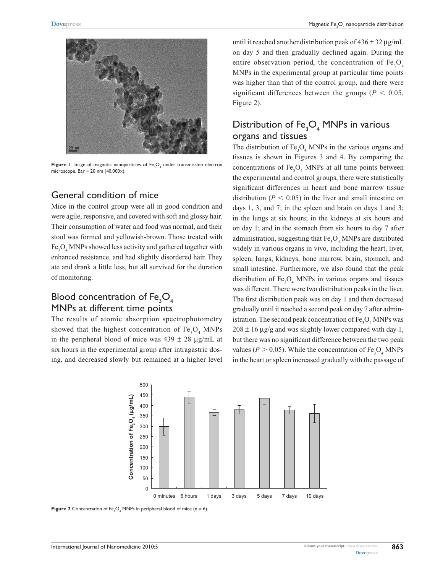

**Figure 1** Image of magnetic nanoparticles of Fe<sub>3</sub>O<sub>4</sub> under transmission electron microscope. Bar = 20 nm  $(40,000\times)$ .

#### General condition of mice

Mice in the control group were all in good condition and were agile, responsive, and covered with soft and glossy hair. Their consumption of water and food was normal, and their stool was formed and yellowish-brown. Those treated with Fe<sub>3</sub>O<sub>4</sub> MNPs showed less activity and gathered together with enhanced resistance, and had slightly disordered hair. They ate and drank a little less, but all survived for the duration of monitoring.

## Blood concentration of  $\mathsf{Fe}_{\mathsf{3}}\mathsf{O}_{\mathsf{4}}$ MNPs at different time points

The results of atomic absorption spectrophotometry showed that the highest concentration of  $Fe<sub>3</sub>O<sub>4</sub>$  MNPs in the peripheral blood of mice was  $439 \pm 28 \text{ µg/mL}$  at six hours in the experimental group after intragastric dosing, and decreased slowly but remained at a higher level

until it reached another distribution peak of  $436 \pm 32 \,\mu$ g/mL on day 5 and then gradually declined again. During the entire observation period, the concentration of  $Fe<sub>3</sub>O<sub>4</sub>$ MNPs in the experimental group at particular time points was higher than that of the control group, and there were significant differences between the groups ( $P < 0.05$ , Figure 2).

## Distribution of  $\text{Fe}_{\text{3}}\text{O}_{\text{4}}$  MNPs in various organs and tissues

The distribution of  $\text{Fe}_3\text{O}_4$  MNPs in the various organs and tissues is shown in Figures 3 and 4. By comparing the concentrations of  $Fe<sub>3</sub>O<sub>4</sub>$  MNPs at all time points between the experimental and control groups, there were statistically significant differences in heart and bone marrow tissue distribution ( $P < 0.05$ ) in the liver and small intestine on days 1, 3, and 7; in the spleen and brain on days 1 and 3; in the lungs at six hours; in the kidneys at six hours and on day 1; and in the stomach from six hours to day 7 after administration, suggesting that  $\text{Fe}_{3}\text{O}_{4}$  MNPs are distributed widely in various organs in vivo, including the heart, liver, spleen, lungs, kidneys, bone marrow, brain, stomach, and small intestine. Furthermore, we also found that the peak distribution of  $Fe<sub>3</sub>O<sub>4</sub>$  MNPs in various organs and tissues was different. There were two distribution peaks in the liver. The first distribution peak was on day 1 and then decreased gradually until it reached a second peak on day 7 after administration. The second peak concentration of  $\text{Fe}_3\text{O}_4$  MNPs was  $208 \pm 16$  µg/g and was slightly lower compared with day 1, but there was no significant difference between the two peak values ( $P > 0.05$ ). While the concentration of  $Fe<sub>3</sub>O<sub>4</sub>$  MNPs in the heart or spleen increased gradually with the passage of



**Figure 2** Concentration of  $Fe<sub>3</sub>O<sub>4</sub>$  MNPs in peripheral blood of mice (n = 6).

**863**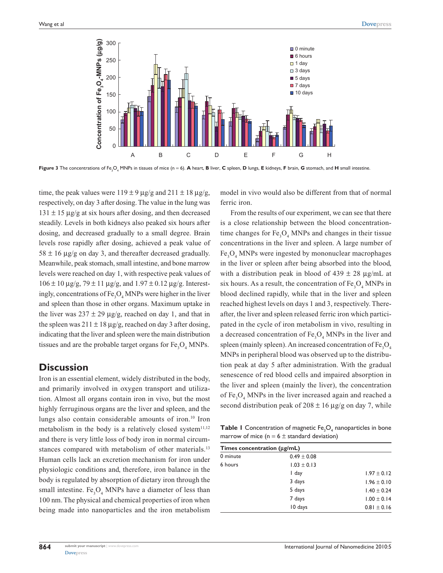

**Figure 3** The concentrations of Fe<sub>3</sub>O<sub>4</sub> MNPs in tissues of mice (n = 6). **A** heart, **B** liver, **C** spleen, **D** lungs, **E** kidneys, **F** brain, **G** stomach, and **H** small intestine.

time, the peak values were  $119 \pm 9$  ug/g and  $211 \pm 18$  ug/g, respectively, on day 3 after dosing. The value in the lung was  $131 \pm 15$  µg/g at six hours after dosing, and then decreased steadily. Levels in both kidneys also peaked six hours after dosing, and decreased gradually to a small degree. Brain levels rose rapidly after dosing, achieved a peak value of  $58 \pm 16$  µg/g on day 3, and thereafter decreased gradually. Meanwhile, peak stomach, small intestine, and bone marrow levels were reached on day 1, with respective peak values of  $106 \pm 10 \,\mu$ g/g, 79  $\pm$  11  $\mu$ g/g, and 1.97  $\pm$  0.12  $\mu$ g/g. Interestingly, concentrations of  $\text{Fe}_3\text{O}_4$  MNPs were higher in the liver and spleen than those in other organs. Maximum uptake in the liver was  $237 \pm 29 \mu g/g$ , reached on day 1, and that in the spleen was  $211 \pm 18 \,\mu$ g/g, reached on day 3 after dosing, indicating that the liver and spleen were the main distribution tissues and are the probable target organs for  $Fe<sub>3</sub>O<sub>4</sub>$  MNPs.

#### **Discussion**

Iron is an essential element, widely distributed in the body, and primarily involved in oxygen transport and utilization. Almost all organs contain iron in vivo, but the most highly ferruginous organs are the liver and spleen, and the lungs also contain considerable amounts of iron.<sup>10</sup> Iron metabolism in the body is a relatively closed system $11,12$ and there is very little loss of body iron in normal circumstances compared with metabolism of other materials.<sup>13</sup> Human cells lack an excretion mechanism for iron under physiologic conditions and, therefore, iron balance in the body is regulated by absorption of dietary iron through the small intestine.  $Fe<sub>3</sub>O<sub>4</sub>$  MNPs have a diameter of less than 100 nm. The physical and chemical properties of iron when being made into nanoparticles and the iron metabolism

model in vivo would also be different from that of normal ferric iron.

From the results of our experiment, we can see that there is a close relationship between the blood concentrationtime changes for  $Fe<sub>3</sub>O<sub>4</sub>$  MNPs and changes in their tissue concentrations in the liver and spleen. A large number of Fe<sub>3</sub>O<sub>4</sub> MNPs were ingested by mononuclear macrophages in the liver or spleen after being absorbed into the blood, with a distribution peak in blood of  $439 \pm 28$  µg/mL at six hours. As a result, the concentration of  $\text{Fe}_3\text{O}_4$  MNPs in blood declined rapidly, while that in the liver and spleen reached highest levels on days 1 and 3, respectively. Thereafter, the liver and spleen released ferric iron which participated in the cycle of iron metabolism in vivo, resulting in a decreased concentration of  $\text{Fe}_3\text{O}_4$  MNPs in the liver and spleen (mainly spleen). An increased concentration of  $Fe<sub>3</sub>O<sub>4</sub>$ MNPs in peripheral blood was observed up to the distribution peak at day 5 after administration. With the gradual senescence of red blood cells and impaired absorption in the liver and spleen (mainly the liver), the concentration of  $Fe<sub>3</sub>O<sub>4</sub>$  MNPs in the liver increased again and reached a second distribution peak of  $208 \pm 16$  µg/g on day 7, while

**Table 1** Concentration of magnetic  $\mathsf{Fe}_{\mathsf{3}}\mathsf{O}_{\mathsf{4}}$  nanoparticles in bone marrow of mice ( $n = 6 \pm$  standard deviation)

| Times concentration ( $\mu$ g/mL) |                 |                 |
|-----------------------------------|-----------------|-----------------|
|                                   |                 |                 |
| 6 hours                           | $1.03 \pm 0.13$ |                 |
|                                   | I day           | $1.97 \pm 0.12$ |
|                                   | 3 days          | $1.96 \pm 0.10$ |
|                                   | 5 days          | $1.40 \pm 0.24$ |
|                                   | 7 days          | $1.00 \pm 0.14$ |
|                                   | 10 days         | $0.81 \pm 0.16$ |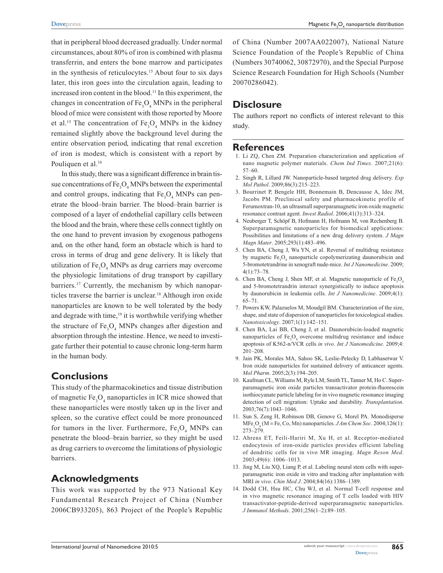that in peripheral blood decreased gradually. Under normal circumstances, about 80% of iron is combined with plasma transferrin, and enters the bone marrow and participates in the synthesis of reticulocytes.<sup>15</sup> About four to six days later, this iron goes into the circulation again, leading to increased iron content in the blood.<sup>11</sup> In this experiment, the changes in concentration of  $Fe<sub>3</sub>O<sub>4</sub>$  MNPs in the peripheral blood of mice were consistent with those reported by Moore et al.<sup>15</sup> The concentration of  $Fe<sub>3</sub>O<sub>4</sub>$  MNPs in the kidney remained slightly above the background level during the entire observation period, indicating that renal excretion of iron is modest, which is consistent with a report by Pouliquen et al.<sup>16</sup>

In this study, there was a significant difference in brain tissue concentrations of  $\text{Fe}_3\text{O}_4$  MNPs between the experimental and control groups, indicating that  $Fe<sub>3</sub>O<sub>4</sub>$  MNPs can penetrate the blood–brain barrier. The blood–brain barrier is composed of a layer of endothelial capillary cells between the blood and the brain, where these cells connect tightly on the one hand to prevent invasion by exogenous pathogens and, on the other hand, form an obstacle which is hard to cross in terms of drug and gene delivery. It is likely that utilization of  $\text{Fe}_{3}\text{O}_{4}$  MNPs as drug carriers may overcome the physiologic limitations of drug transport by capillary barriers.<sup>17</sup> Currently, the mechanism by which nanoparticles traverse the barrier is unclear.18 Although iron oxide nanoparticles are known to be well tolerated by the body and degrade with time, $19$  it is worthwhile verifying whether the structure of  $\text{Fe}_{3}\text{O}_{4}$  MNPs changes after digestion and absorption through the intestine. Hence, we need to investigate further their potential to cause chronic long-term harm in the human body.

#### **Conclusions**

This study of the pharmacokinetics and tissue distribution of magnetic  $Fe<sub>3</sub>O<sub>4</sub>$  nanoparticles in ICR mice showed that these nanoparticles were mostly taken up in the liver and spleen, so the curative effect could be more pronounced for tumors in the liver. Furthermore,  $Fe<sub>3</sub>O<sub>4</sub>$  MNPs can penetrate the blood–brain barrier, so they might be used as drug carriers to overcome the limitations of physiologic barriers.

#### **Acknowledgments**

This work was supported by the 973 National Key Fundamental Research Project of China (Number 2006CB933205), 863 Project of the People's Republic

of China (Number 2007AA022007), National Nature Science Foundation of the People's Republic of China (Numbers 30740062, 30872970), and the Special Purpose Science Research Foundation for High Schools (Number 20070286042).

## **Disclosure**

The authors report no conflicts of interest relevant to this study.

#### **References**

- 1. Li ZQ, Chen ZM. Preparation characterization and application of nano magnetic polymer materials. *Chem Ind Times*. 2007;21(6): 57–60.
- 2. Singh R, Lillard JW. Nanoparticle-based targeted drug delivery. *Exp Mol Pathol*. 2009;86(3):215–223.
- 3. Bourrinet P, Bengele HH, Bonnemain B, Dencausse A, Idec JM, Jacobs PM. Preclinical safety and pharmacokinetic profile of Ferumoxtran-10, an ultrasmall superparamagnetic iron oxide magnetic resonance contrast agent. *Invest Radiol*. 2006;41(3):313–324.
- 4. Neuberger T, Schöpf B, Hofmann H, Hofmann M, von Rechenberg B. Superparamagnetic nanoparticles for biomedical applications: Possibilities and limitations of a new drug delivery system. *J Magn Magn Mater*. 2005;293(1):483–496.
- 5. Chen BA, Cheng J, Wu YN, et al. Reversal of multidrug resistance by magnetic Fe<sub>3</sub>O<sub>4</sub> nanoparticle copolymerizating daunorubicin and 5-bromotetrandrine in xenograft nude-mice. *Int J Nanomedicine*. 2009; 4(1):73–78.
- 6. Chen BA, Cheng J, Shen MF, et al. Magnetic nanoparticle of  $Fe<sub>3</sub>O<sub>4</sub>$ and 5-bromotetrandrin interact synergistically to induce apoptosis by daunorubicin in leukemia cells. *Int J Nanomedicine*. 2009;4(1): 65–71.
- 7. Powers KW, Palazuelos M, Moudgil BM. Characterization of the size, shape, and state of dispersion of nanoparticles for toxicological studies. *Nanotoxicology*. 2007;1(1):142–151.
- 8. Chen BA, Lai BB, Cheng J, et al. Daunorubicin-loaded magnetic nanoparticles of  $Fe<sub>3</sub>O<sub>4</sub>$  overcome multidrug resistance and induce apoptosis of K562-n/VCR cells *in vivo*. *Int J Nanomedicine*. 2009;4: 201–208.
- 9. Jain PK, Morales MA, Sahoo SK, Leslie-Pelecky D, Labhasetwar V. Iron oxide nanoparticles for sustained delivery of anticancer agents. *Mol Pharm*. 2005;2(3):194–205.
- 10. Kaufman CL, Williams M, Ryle LM, Smith TL, Tanner M, Ho C. Superparamagnetic iron oxide particles transactivator protein-fluorescein isothiocyanate particle labeling for in vivo magnetic resonance imaging detection of cell migration: Uptake and durability. *Transplantation*. 2003;76(7):1043–1046.
- 11. Sun S, Zeng H, Robinson DB, Genove G, Morel PA. Monodisperse  $MFe<sub>2</sub>O<sub>4</sub>$  (M = Fe, Co, Mn) nanoparticles. *JAm Chem Soc.* 2004;126(1): 273–279.
- 12. Ahrens ET, Feili-Hariri M, Xu H, et al. Receptor-mediated endocytosis of iron-oxide particles provides efficient labeling of dendritic cells for in vivo MR imaging. *Magn Reson Med*. 2003;49(6): 1006–1013.
- 13. Jing M, Liu XQ, Liang P, et al. Labeling neural stem cells with superparamagnetic iron oxide in vitro and tracking after implantation with MRI *in vivo*. *Chin Med J*. 2004;84(16):1386–1389.
- 14. Dodd CH, Hsu HC, Chu WJ, et al. Normal T-cell response and in vivo magnetic resonance imaging of T cells loaded with HIV transactivator-peptide-derived superparamagnetic nanoparticles. *J Immunol Methods*. 2001;256(1–2):89–105.